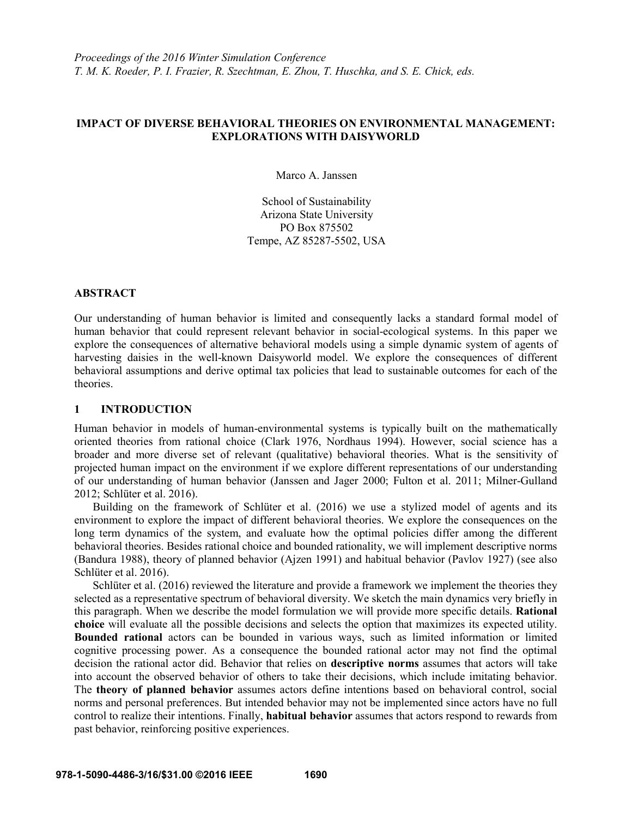# **IMPACT OF DIVERSE BEHAVIORAL THEORIES ON ENVIRONMENTAL MANAGEMENT: EXPLORATIONS WITH DAISYWORLD**

Marco A. Janssen

School of Sustainability Arizona State University PO Box 875502 Tempe, AZ 85287-5502, USA

## **ABSTRACT**

Our understanding of human behavior is limited and consequently lacks a standard formal model of human behavior that could represent relevant behavior in social-ecological systems. In this paper we explore the consequences of alternative behavioral models using a simple dynamic system of agents of harvesting daisies in the well-known Daisyworld model. We explore the consequences of different behavioral assumptions and derive optimal tax policies that lead to sustainable outcomes for each of the theories.

# **1 INTRODUCTION**

Human behavior in models of human-environmental systems is typically built on the mathematically oriented theories from rational choice (Clark 1976, Nordhaus 1994). However, social science has a broader and more diverse set of relevant (qualitative) behavioral theories. What is the sensitivity of projected human impact on the environment if we explore different representations of our understanding of our understanding of human behavior (Janssen and Jager 2000; Fulton et al. 2011; Milner-Gulland 2012; Schlüter et al. 2016).

Building on the framework of Schlüter et al. (2016) we use a stylized model of agents and its environment to explore the impact of different behavioral theories. We explore the consequences on the long term dynamics of the system, and evaluate how the optimal policies differ among the different behavioral theories. Besides rational choice and bounded rationality, we will implement descriptive norms (Bandura 1988), theory of planned behavior (Ajzen 1991) and habitual behavior (Pavlov 1927) (see also Schlüter et al. 2016).

Schlüter et al. (2016) reviewed the literature and provide a framework we implement the theories they selected as a representative spectrum of behavioral diversity. We sketch the main dynamics very briefly in this paragraph. When we describe the model formulation we will provide more specific details. **Rational choice** will evaluate all the possible decisions and selects the option that maximizes its expected utility. **Bounded rational** actors can be bounded in various ways, such as limited information or limited cognitive processing power. As a consequence the bounded rational actor may not find the optimal decision the rational actor did. Behavior that relies on **descriptive norms** assumes that actors will take into account the observed behavior of others to take their decisions, which include imitating behavior. The **theory of planned behavior** assumes actors define intentions based on behavioral control, social norms and personal preferences. But intended behavior may not be implemented since actors have no full control to realize their intentions. Finally, **habitual behavior** assumes that actors respond to rewards from past behavior, reinforcing positive experiences.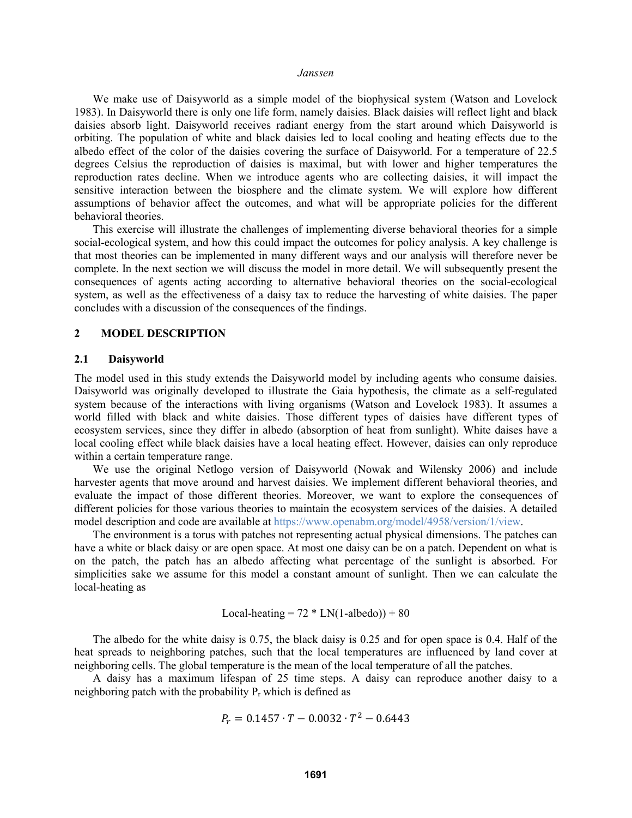We make use of Daisyworld as a simple model of the biophysical system (Watson and Lovelock 1983). In Daisyworld there is only one life form, namely daisies. Black daisies will reflect light and black daisies absorb light. Daisyworld receives radiant energy from the start around which Daisyworld is orbiting. The population of white and black daisies led to local cooling and heating effects due to the albedo effect of the color of the daisies covering the surface of Daisyworld. For a temperature of 22.5 degrees Celsius the reproduction of daisies is maximal, but with lower and higher temperatures the reproduction rates decline. When we introduce agents who are collecting daisies, it will impact the sensitive interaction between the biosphere and the climate system. We will explore how different assumptions of behavior affect the outcomes, and what will be appropriate policies for the different behavioral theories.

This exercise will illustrate the challenges of implementing diverse behavioral theories for a simple social-ecological system, and how this could impact the outcomes for policy analysis. A key challenge is that most theories can be implemented in many different ways and our analysis will therefore never be complete. In the next section we will discuss the model in more detail. We will subsequently present the consequences of agents acting according to alternative behavioral theories on the social-ecological system, as well as the effectiveness of a daisy tax to reduce the harvesting of white daisies. The paper concludes with a discussion of the consequences of the findings.

### **2 MODEL DESCRIPTION**

## **2.1 Daisyworld**

The model used in this study extends the Daisyworld model by including agents who consume daisies. Daisyworld was originally developed to illustrate the Gaia hypothesis, the climate as a self-regulated system because of the interactions with living organisms (Watson and Lovelock 1983). It assumes a world filled with black and white daisies. Those different types of daisies have different types of ecosystem services, since they differ in albedo (absorption of heat from sunlight). White daises have a local cooling effect while black daisies have a local heating effect. However, daisies can only reproduce within a certain temperature range.

We use the original Netlogo version of Daisyworld (Nowak and Wilensky 2006) and include harvester agents that move around and harvest daisies. We implement different behavioral theories, and evaluate the impact of those different theories. Moreover, we want to explore the consequences of different policies for those various theories to maintain the ecosystem services of the daisies. A detailed model description and code are available at https://www.openabm.org/model/4958/version/1/view.

The environment is a torus with patches not representing actual physical dimensions. The patches can have a white or black daisy or are open space. At most one daisy can be on a patch. Dependent on what is on the patch, the patch has an albedo affecting what percentage of the sunlight is absorbed. For simplicities sake we assume for this model a constant amount of sunlight. Then we can calculate the local-heating as

$$
Local\text{-}heating = 72 * LN(1\text{-}albedo)) + 80
$$

The albedo for the white daisy is 0.75, the black daisy is 0.25 and for open space is 0.4. Half of the heat spreads to neighboring patches, such that the local temperatures are influenced by land cover at neighboring cells. The global temperature is the mean of the local temperature of all the patches.

A daisy has a maximum lifespan of 25 time steps. A daisy can reproduce another daisy to a neighboring patch with the probability  $P_r$  which is defined as

$$
P_r = 0.1457 \cdot T - 0.0032 \cdot T^2 - 0.6443
$$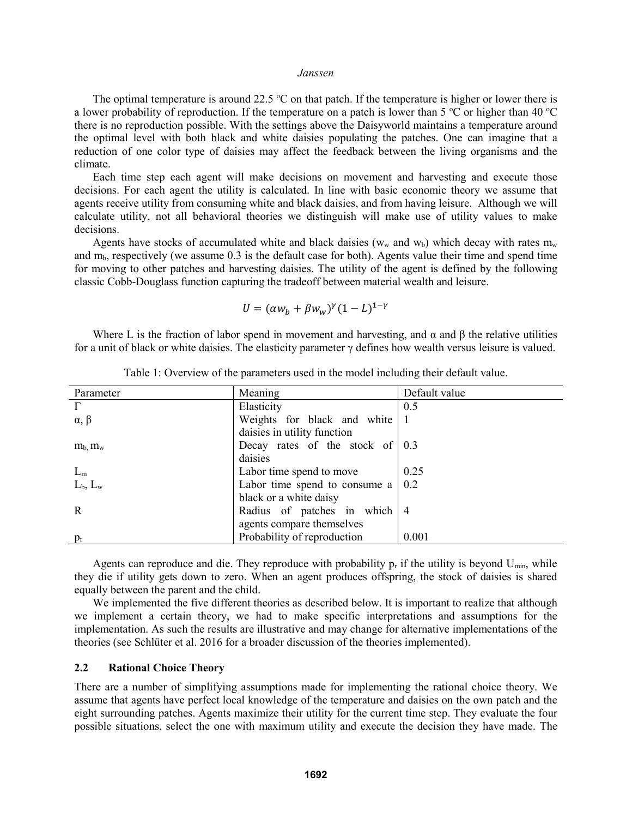The optimal temperature is around  $22.5 \text{ }^{\circ}\text{C}$  on that patch. If the temperature is higher or lower there is a lower probability of reproduction. If the temperature on a patch is lower than 5  $\degree$ C or higher than 40  $\degree$ C there is no reproduction possible. With the settings above the Daisyworld maintains a temperature around the optimal level with both black and white daisies populating the patches. One can imagine that a reduction of one color type of daisies may affect the feedback between the living organisms and the climate.

Each time step each agent will make decisions on movement and harvesting and execute those decisions. For each agent the utility is calculated. In line with basic economic theory we assume that agents receive utility from consuming white and black daisies, and from having leisure. Although we will calculate utility, not all behavioral theories we distinguish will make use of utility values to make decisions.

Agents have stocks of accumulated white and black daisies ( $w_w$  and  $w_b$ ) which decay with rates  $m_w$ and  $m_b$ , respectively (we assume 0.3 is the default case for both). Agents value their time and spend time for moving to other patches and harvesting daisies. The utility of the agent is defined by the following classic Cobb-Douglass function capturing the tradeoff between material wealth and leisure.

$$
U = (\alpha w_b + \beta w_w)^{\gamma} (1 - L)^{1 - \gamma}
$$

Where L is the fraction of labor spend in movement and harvesting, and  $\alpha$  and  $\beta$  the relative utilities for a unit of black or white daisies. The elasticity parameter  $\gamma$  defines how wealth versus leisure is valued.

| Parameter       | Meaning                                         | Default value |
|-----------------|-------------------------------------------------|---------------|
|                 | Elasticity                                      | 0.5           |
| $\alpha, \beta$ | Weights for black and white                     |               |
|                 | daisies in utility function                     |               |
| $m_b$ $m_w$     | Decay rates of the stock of $\vert 0.3 \rangle$ |               |
|                 | daisies                                         |               |
| $L_m$           | Labor time spend to move                        | 0.25          |
| $L_b, L_w$      | Labor time spend to consume a                   | 0.2           |
|                 | black or a white daisy                          |               |
| R               | Radius of patches in which 4                    |               |
|                 | agents compare themselves                       |               |
| $p_{r}$         | Probability of reproduction                     | 0.001         |

Table 1: Overview of the parameters used in the model including their default value.

Agents can reproduce and die. They reproduce with probability  $p_r$  if the utility is beyond  $U_{\text{min}}$ , while they die if utility gets down to zero. When an agent produces offspring, the stock of daisies is shared equally between the parent and the child.

We implemented the five different theories as described below. It is important to realize that although we implement a certain theory, we had to make specific interpretations and assumptions for the implementation. As such the results are illustrative and may change for alternative implementations of the theories (see Schlüter et al. 2016 for a broader discussion of the theories implemented).

## **2.2 Rational Choice Theory**

There are a number of simplifying assumptions made for implementing the rational choice theory. We assume that agents have perfect local knowledge of the temperature and daisies on the own patch and the eight surrounding patches. Agents maximize their utility for the current time step. They evaluate the four possible situations, select the one with maximum utility and execute the decision they have made. The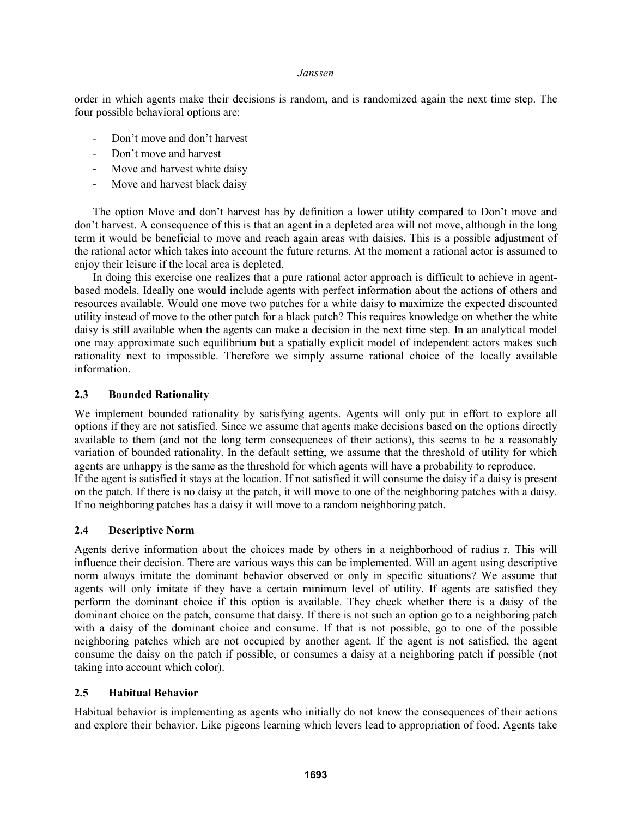order in which agents make their decisions is random, and is randomized again the next time step. The four possible behavioral options are:

- Don't move and don't harvest
- Don't move and harvest
- Move and harvest white daisy
- Move and harvest black daisy

The option Move and don't harvest has by definition a lower utility compared to Don't move and don't harvest. A consequence of this is that an agent in a depleted area will not move, although in the long term it would be beneficial to move and reach again areas with daisies. This is a possible adjustment of the rational actor which takes into account the future returns. At the moment a rational actor is assumed to enjoy their leisure if the local area is depleted.

In doing this exercise one realizes that a pure rational actor approach is difficult to achieve in agentbased models. Ideally one would include agents with perfect information about the actions of others and resources available. Would one move two patches for a white daisy to maximize the expected discounted utility instead of move to the other patch for a black patch? This requires knowledge on whether the white daisy is still available when the agents can make a decision in the next time step. In an analytical model one may approximate such equilibrium but a spatially explicit model of independent actors makes such rationality next to impossible. Therefore we simply assume rational choice of the locally available information.

# **2.3 Bounded Rationality**

We implement bounded rationality by satisfying agents. Agents will only put in effort to explore all options if they are not satisfied. Since we assume that agents make decisions based on the options directly available to them (and not the long term consequences of their actions), this seems to be a reasonably variation of bounded rationality. In the default setting, we assume that the threshold of utility for which agents are unhappy is the same as the threshold for which agents will have a probability to reproduce. If the agent is satisfied it stays at the location. If not satisfied it will consume the daisy if a daisy is present on the patch. If there is no daisy at the patch, it will move to one of the neighboring patches with a daisy. If no neighboring patches has a daisy it will move to a random neighboring patch.

# **2.4 Descriptive Norm**

Agents derive information about the choices made by others in a neighborhood of radius r. This will influence their decision. There are various ways this can be implemented. Will an agent using descriptive norm always imitate the dominant behavior observed or only in specific situations? We assume that agents will only imitate if they have a certain minimum level of utility. If agents are satisfied they perform the dominant choice if this option is available. They check whether there is a daisy of the dominant choice on the patch, consume that daisy. If there is not such an option go to a neighboring patch with a daisy of the dominant choice and consume. If that is not possible, go to one of the possible neighboring patches which are not occupied by another agent. If the agent is not satisfied, the agent consume the daisy on the patch if possible, or consumes a daisy at a neighboring patch if possible (not taking into account which color).

# **2.5 Habitual Behavior**

Habitual behavior is implementing as agents who initially do not know the consequences of their actions and explore their behavior. Like pigeons learning which levers lead to appropriation of food. Agents take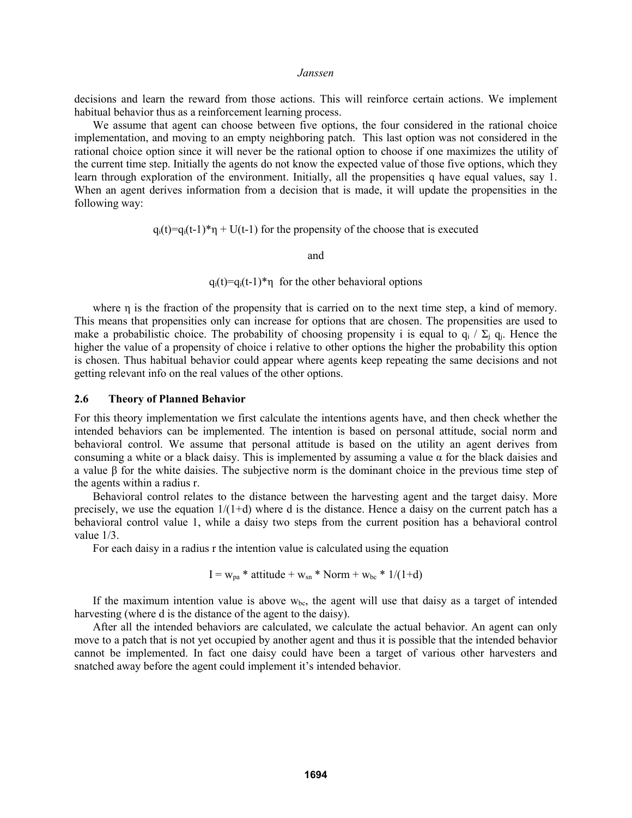decisions and learn the reward from those actions. This will reinforce certain actions. We implement habitual behavior thus as a reinforcement learning process.

We assume that agent can choose between five options, the four considered in the rational choice implementation, and moving to an empty neighboring patch. This last option was not considered in the rational choice option since it will never be the rational option to choose if one maximizes the utility of the current time step. Initially the agents do not know the expected value of those five options, which they learn through exploration of the environment. Initially, all the propensities q have equal values, say 1. When an agent derives information from a decision that is made, it will update the propensities in the following way:

 $q_i(t)=q_i(t-1)*\eta + U(t-1)$  for the propensity of the choose that is executed

and

q<sub>i</sub>(t)=q<sub>i</sub>(t-1)\*η for the other behavioral options

where η is the fraction of the propensity that is carried on to the next time step, a kind of memory. This means that propensities only can increase for options that are chosen. The propensities are used to make a probabilistic choice. The probability of choosing propensity i is equal to  $q_i / \Sigma_i q_i$ . Hence the higher the value of a propensity of choice i relative to other options the higher the probability this option is chosen. Thus habitual behavior could appear where agents keep repeating the same decisions and not getting relevant info on the real values of the other options.

### **2.6 Theory of Planned Behavior**

For this theory implementation we first calculate the intentions agents have, and then check whether the intended behaviors can be implemented. The intention is based on personal attitude, social norm and behavioral control. We assume that personal attitude is based on the utility an agent derives from consuming a white or a black daisy. This is implemented by assuming a value  $\alpha$  for the black daisies and a value β for the white daisies. The subjective norm is the dominant choice in the previous time step of the agents within a radius r.

Behavioral control relates to the distance between the harvesting agent and the target daisy. More precisely, we use the equation  $1/(1+d)$  where d is the distance. Hence a daisy on the current patch has a behavioral control value 1, while a daisy two steps from the current position has a behavioral control value 1/3.

For each daisy in a radius r the intention value is calculated using the equation

$$
I = w_{pa} * attitude + w_{sn} * Norm + w_{bc} * 1/(1+d)
$$

If the maximum intention value is above  $w_{bc}$ , the agent will use that daisy as a target of intended harvesting (where d is the distance of the agent to the daisy).

After all the intended behaviors are calculated, we calculate the actual behavior. An agent can only move to a patch that is not yet occupied by another agent and thus it is possible that the intended behavior cannot be implemented. In fact one daisy could have been a target of various other harvesters and snatched away before the agent could implement it's intended behavior.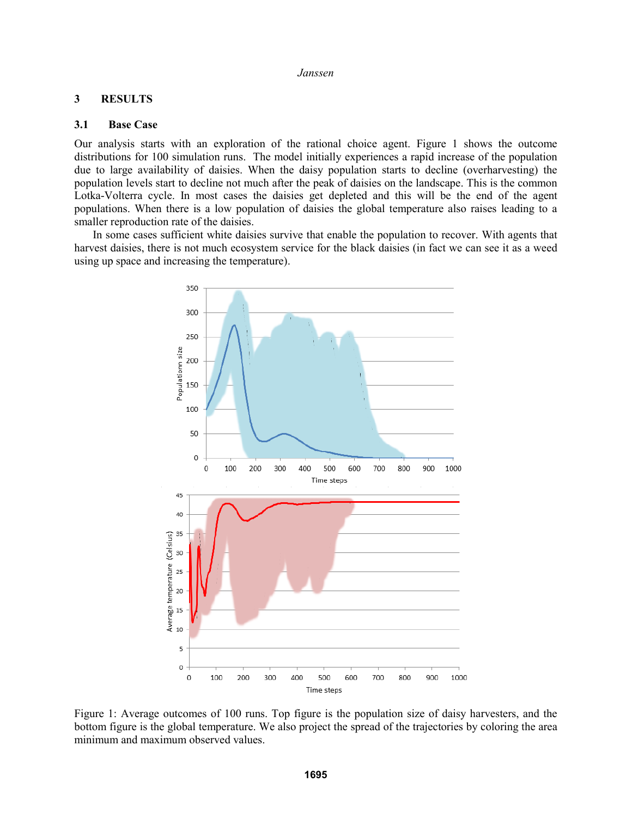# **3 RESULTS**

# **3.1 Base Case**

Our analysis starts with an exploration of the rational choice agent. Figure 1 shows the outcome distributions for 100 simulation runs. The model initially experiences a rapid increase of the population due to large availability of daisies. When the daisy population starts to decline (overharvesting) the population levels start to decline not much after the peak of daisies on the landscape. This is the common Lotka-Volterra cycle. In most cases the daisies get depleted and this will be the end of the agent populations. When there is a low population of daisies the global temperature also raises leading to a smaller reproduction rate of the daisies.

In some cases sufficient white daisies survive that enable the population to recover. With agents that harvest daisies, there is not much ecosystem service for the black daisies (in fact we can see it as a weed using up space and increasing the temperature).



Figure 1: Average outcomes of 100 runs. Top figure is the population size of daisy harvesters, and the bottom figure is the global temperature. We also project the spread of the trajectories by coloring the area minimum and maximum observed values.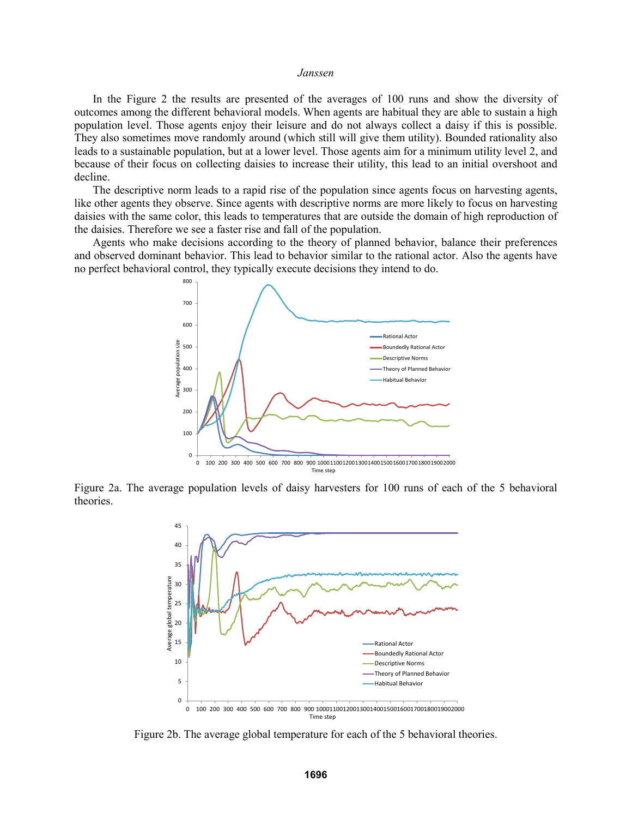In the Figure 2 the results are presented of the averages of 100 runs and show the diversity of outcomes among the different behavioral models. When agents are habitual they are able to sustain a high population level. Those agents enjoy their leisure and do not always collect a daisy if this is possible. They also sometimes move randomly around (which still will give them utility). Bounded rationality also leads to a sustainable population, but at a lower level. Those agents aim for a minimum utility level 2, and because of their focus on collecting daisies to increase their utility, this lead to an initial overshoot and decline.

The descriptive norm leads to a rapid rise of the population since agents focus on harvesting agents, like other agents they observe. Since agents with descriptive norms are more likely to focus on harvesting daisies with the same color, this leads to temperatures that are outside the domain of high reproduction of the daisies. Therefore we see a faster rise and fall of the population.

Agents who make decisions according to the theory of planned behavior, balance their preferences and observed dominant behavior. This lead to behavior similar to the rational actor. Also the agents have no perfect behavioral control, they typically execute decisions they intend to do.



Figure 2a. The average population levels of daisy harvesters for 100 runs of each of the 5 behavioral theories.



Figure 2b. The average global temperature for each of the 5 behavioral theories.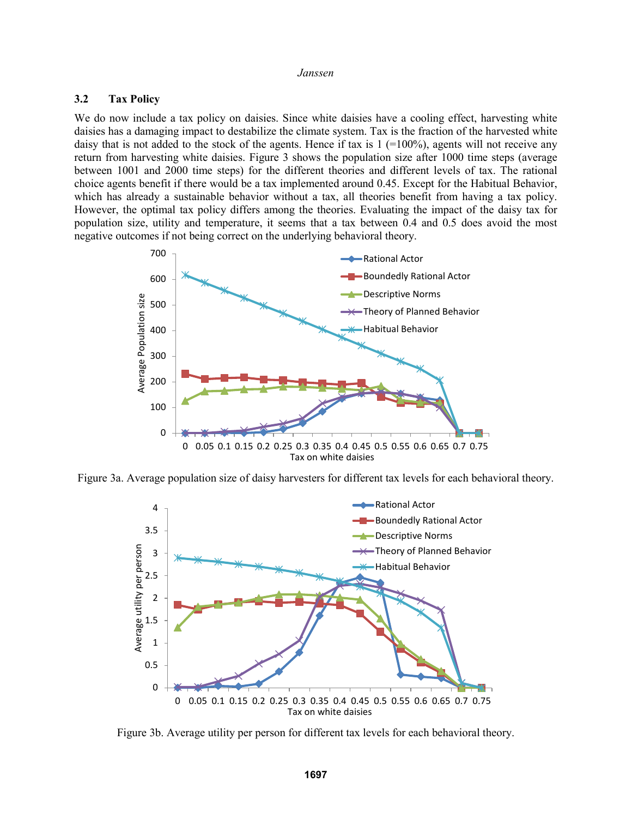# **3.2 Tax Policy**

We do now include a tax policy on daisies. Since white daisies have a cooling effect, harvesting white daisies has a damaging impact to destabilize the climate system. Tax is the fraction of the harvested white daisy that is not added to the stock of the agents. Hence if tax is  $1$  (=100%), agents will not receive any return from harvesting white daisies. Figure 3 shows the population size after 1000 time steps (average between 1001 and 2000 time steps) for the different theories and different levels of tax. The rational choice agents benefit if there would be a tax implemented around 0.45. Except for the Habitual Behavior, which has already a sustainable behavior without a tax, all theories benefit from having a tax policy. However, the optimal tax policy differs among the theories. Evaluating the impact of the daisy tax for population size, utility and temperature, it seems that a tax between 0.4 and 0.5 does avoid the most negative outcomes if not being correct on the underlying behavioral theory.



Figure 3a. Average population size of daisy harvesters for different tax levels for each behavioral theory.



Figure 3b. Average utility per person for different tax levels for each behavioral theory.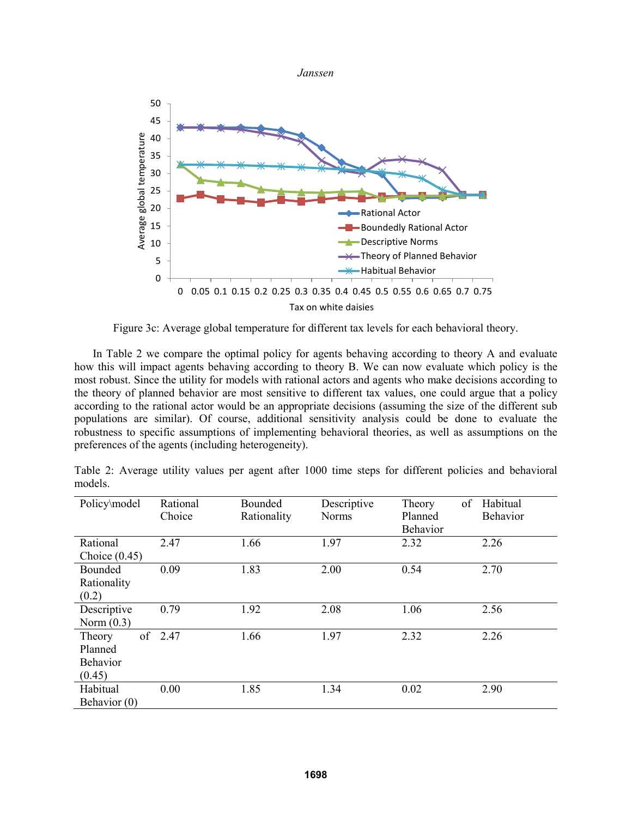

Figure 3c: Average global temperature for different tax levels for each behavioral theory.

In Table 2 we compare the optimal policy for agents behaving according to theory A and evaluate how this will impact agents behaving according to theory B. We can now evaluate which policy is the most robust. Since the utility for models with rational actors and agents who make decisions according to the theory of planned behavior are most sensitive to different tax values, one could argue that a policy according to the rational actor would be an appropriate decisions (assuming the size of the different sub populations are similar). Of course, additional sensitivity analysis could be done to evaluate the robustness to specific assumptions of implementing behavioral theories, as well as assumptions on the preferences of the agents (including heterogeneity).

| Policy\model    | Rational | Bounded     | Descriptive  | of<br>Theory | Habitual |
|-----------------|----------|-------------|--------------|--------------|----------|
|                 | Choice   | Rationality | <b>Norms</b> | Planned      | Behavior |
|                 |          |             |              | Behavior     |          |
| Rational        | 2.47     | 1.66        | 1.97         | 2.32         | 2.26     |
| Choice $(0.45)$ |          |             |              |              |          |
| Bounded         | 0.09     | 1.83        | 2.00         | 0.54         | 2.70     |
| Rationality     |          |             |              |              |          |
| (0.2)           |          |             |              |              |          |
| Descriptive     | 0.79     | 1.92        | 2.08         | 1.06         | 2.56     |
| Norm $(0.3)$    |          |             |              |              |          |
| of<br>Theory    | 2.47     | 1.66        | 1.97         | 2.32         | 2.26     |
| Planned         |          |             |              |              |          |
| Behavior        |          |             |              |              |          |
| (0.45)          |          |             |              |              |          |
| Habitual        | 0.00     | 1.85        | 1.34         | 0.02         | 2.90     |
| Behavior (0)    |          |             |              |              |          |

Table 2: Average utility values per agent after 1000 time steps for different policies and behavioral models.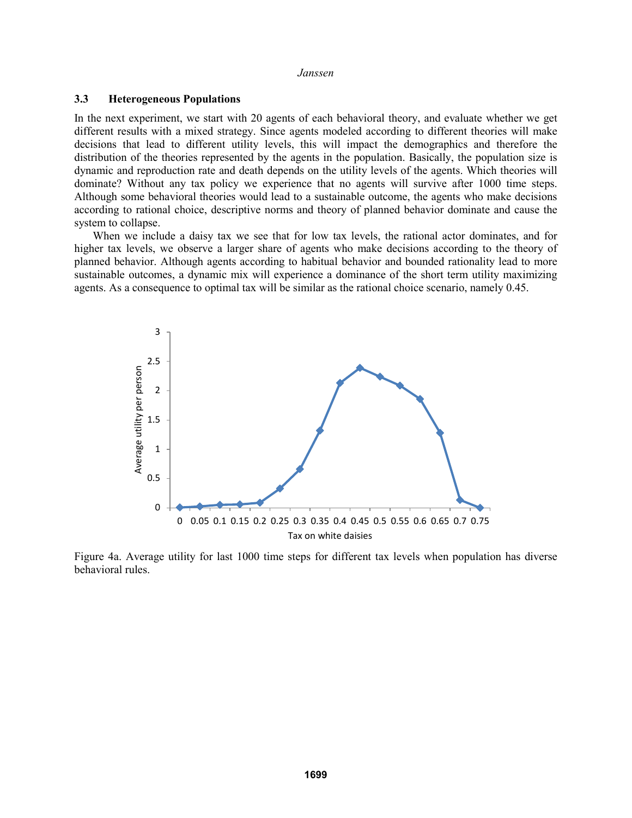# **3.3 Heterogeneous Populations**

In the next experiment, we start with 20 agents of each behavioral theory, and evaluate whether we get different results with a mixed strategy. Since agents modeled according to different theories will make decisions that lead to different utility levels, this will impact the demographics and therefore the distribution of the theories represented by the agents in the population. Basically, the population size is dynamic and reproduction rate and death depends on the utility levels of the agents. Which theories will dominate? Without any tax policy we experience that no agents will survive after 1000 time steps. Although some behavioral theories would lead to a sustainable outcome, the agents who make decisions according to rational choice, descriptive norms and theory of planned behavior dominate and cause the system to collapse.

When we include a daisy tax we see that for low tax levels, the rational actor dominates, and for higher tax levels, we observe a larger share of agents who make decisions according to the theory of planned behavior. Although agents according to habitual behavior and bounded rationality lead to more sustainable outcomes, a dynamic mix will experience a dominance of the short term utility maximizing agents. As a consequence to optimal tax will be similar as the rational choice scenario, namely 0.45.



Figure 4a. Average utility for last 1000 time steps for different tax levels when population has diverse behavioral rules.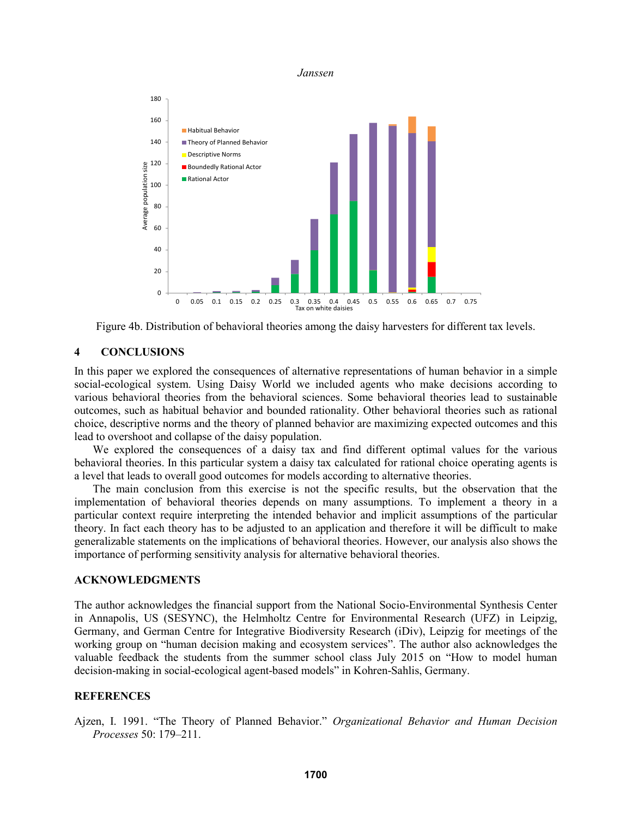



Figure 4b. Distribution of behavioral theories among the daisy harvesters for different tax levels.

## **4 CONCLUSIONS**

In this paper we explored the consequences of alternative representations of human behavior in a simple social-ecological system. Using Daisy World we included agents who make decisions according to various behavioral theories from the behavioral sciences. Some behavioral theories lead to sustainable outcomes, such as habitual behavior and bounded rationality. Other behavioral theories such as rational choice, descriptive norms and the theory of planned behavior are maximizing expected outcomes and this lead to overshoot and collapse of the daisy population.

We explored the consequences of a daisy tax and find different optimal values for the various behavioral theories. In this particular system a daisy tax calculated for rational choice operating agents is a level that leads to overall good outcomes for models according to alternative theories.

The main conclusion from this exercise is not the specific results, but the observation that the implementation of behavioral theories depends on many assumptions. To implement a theory in a particular context require interpreting the intended behavior and implicit assumptions of the particular theory. In fact each theory has to be adjusted to an application and therefore it will be difficult to make generalizable statements on the implications of behavioral theories. However, our analysis also shows the importance of performing sensitivity analysis for alternative behavioral theories.

# **ACKNOWLEDGMENTS**

The author acknowledges the financial support from the National Socio-Environmental Synthesis Center in Annapolis, US (SESYNC), the Helmholtz Centre for Environmental Research (UFZ) in Leipzig, Germany, and German Centre for Integrative Biodiversity Research (iDiv), Leipzig for meetings of the working group on "human decision making and ecosystem services". The author also acknowledges the valuable feedback the students from the summer school class July 2015 on "How to model human decision-making in social-ecological agent-based models" in Kohren-Sahlis, Germany.

## **REFERENCES**

Ajzen, I. 1991. "The Theory of Planned Behavior." *Organizational Behavior and Human Decision Processes* 50: 179–211.